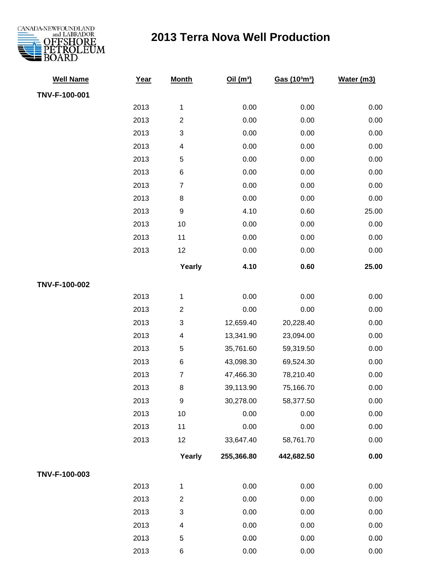

## **2013 Terra Nova Well Production**

| <b>Well Name</b> | Year | <b>Month</b>             | Oil $(m^3)$ | Gas (103m3) | Water (m3) |
|------------------|------|--------------------------|-------------|-------------|------------|
| TNV-F-100-001    |      |                          |             |             |            |
|                  | 2013 | 1                        | 0.00        | 0.00        | 0.00       |
|                  | 2013 | $\overline{2}$           | 0.00        | 0.00        | 0.00       |
|                  | 2013 | 3                        | 0.00        | 0.00        | 0.00       |
|                  | 2013 | 4                        | 0.00        | 0.00        | 0.00       |
|                  | 2013 | 5                        | 0.00        | 0.00        | 0.00       |
|                  | 2013 | $\,6$                    | 0.00        | 0.00        | 0.00       |
|                  | 2013 | $\overline{7}$           | 0.00        | 0.00        | 0.00       |
|                  | 2013 | 8                        | 0.00        | 0.00        | 0.00       |
|                  | 2013 | $\boldsymbol{9}$         | 4.10        | 0.60        | 25.00      |
|                  | 2013 | 10                       | 0.00        | 0.00        | 0.00       |
|                  | 2013 | 11                       | 0.00        | 0.00        | 0.00       |
|                  | 2013 | 12                       | 0.00        | 0.00        | 0.00       |
|                  |      | Yearly                   | 4.10        | 0.60        | 25.00      |
| TNV-F-100-002    |      |                          |             |             |            |
|                  | 2013 | 1                        | 0.00        | 0.00        | 0.00       |
|                  | 2013 | $\overline{2}$           | 0.00        | 0.00        | 0.00       |
|                  | 2013 | 3                        | 12,659.40   | 20,228.40   | 0.00       |
|                  | 2013 | $\overline{\mathcal{A}}$ | 13,341.90   | 23,094.00   | 0.00       |
|                  | 2013 | 5                        | 35,761.60   | 59,319.50   | 0.00       |
|                  | 2013 | $\,6$                    | 43,098.30   | 69,524.30   | 0.00       |
|                  | 2013 | $\overline{7}$           | 47,466.30   | 78,210.40   | 0.00       |
|                  | 2013 | $\,8\,$                  | 39,113.90   | 75,166.70   | 0.00       |
|                  | 2013 | 9                        | 30,278.00   | 58,377.50   | 0.00       |
|                  | 2013 | 10                       | 0.00        | 0.00        | 0.00       |
|                  | 2013 | 11                       | 0.00        | 0.00        | 0.00       |
|                  | 2013 | 12                       | 33,647.40   | 58,761.70   | 0.00       |
|                  |      | Yearly                   | 255,366.80  | 442,682.50  | 0.00       |
| TNV-F-100-003    |      |                          |             |             |            |
|                  | 2013 | 1                        | 0.00        | 0.00        | 0.00       |
|                  | 2013 | $\overline{c}$           | 0.00        | 0.00        | 0.00       |
|                  | 2013 | 3                        | 0.00        | 0.00        | 0.00       |
|                  | 2013 | 4                        | 0.00        | 0.00        | 0.00       |
|                  | 2013 | 5                        | 0.00        | 0.00        | 0.00       |
|                  | 2013 | 6                        | 0.00        | 0.00        | 0.00       |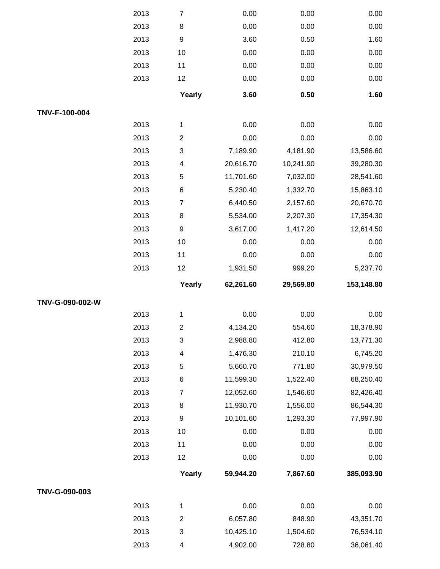|                 | 2013 | $\boldsymbol{7}$        | 0.00      | 0.00      | 0.00         |
|-----------------|------|-------------------------|-----------|-----------|--------------|
|                 | 2013 | $\bf 8$                 | 0.00      | 0.00      | 0.00         |
|                 | 2013 | $\boldsymbol{9}$        | 3.60      | 0.50      | 1.60         |
|                 | 2013 | 10                      | 0.00      | 0.00      | 0.00         |
|                 | 2013 | 11                      | 0.00      | 0.00      | 0.00         |
|                 | 2013 | 12                      | 0.00      | 0.00      | 0.00         |
|                 |      | Yearly                  | 3.60      | 0.50      | 1.60         |
| TNV-F-100-004   |      |                         |           |           |              |
|                 | 2013 | 1                       | 0.00      | 0.00      | 0.00         |
|                 | 2013 | $\sqrt{2}$              | 0.00      | 0.00      | 0.00         |
|                 | 2013 | $\sqrt{3}$              | 7,189.90  | 4,181.90  | 13,586.60    |
|                 | 2013 | $\overline{\mathbf{4}}$ | 20,616.70 | 10,241.90 | 39,280.30    |
|                 | 2013 | $\sqrt{5}$              | 11,701.60 | 7,032.00  | 28,541.60    |
|                 | 2013 | $\,6$                   | 5,230.40  | 1,332.70  | 15,863.10    |
|                 | 2013 | $\overline{7}$          | 6,440.50  | 2,157.60  | 20,670.70    |
|                 | 2013 | $\bf 8$                 | 5,534.00  | 2,207.30  | 17,354.30    |
|                 | 2013 | $\boldsymbol{9}$        | 3,617.00  | 1,417.20  | 12,614.50    |
|                 | 2013 | 10                      | 0.00      | 0.00      | 0.00         |
|                 | 2013 | 11                      | 0.00      | 0.00      | 0.00         |
|                 | 2013 | 12                      | 1,931.50  | 999.20    | 5,237.70     |
|                 |      |                         |           |           |              |
|                 |      | Yearly                  | 62,261.60 | 29,569.80 | 153,148.80   |
| TNV-G-090-002-W |      |                         |           |           |              |
|                 | 2013 | $\mathbf{1}$            | 0.00      | 0.00      | 0.00         |
|                 | 2013 | $\boldsymbol{2}$        | 4,134.20  | 554.60    | 18,378.90    |
|                 | 2013 | $\sqrt{3}$              | 2,988.80  | 412.80    | 13,771.30    |
|                 | 2013 | $\overline{\mathbf{4}}$ | 1,476.30  | 210.10    | 6,745.20     |
|                 | 2013 | 5                       | 5,660.70  | 771.80    | 30,979.50    |
|                 | 2013 | 6                       | 11,599.30 | 1,522.40  | 68,250.40    |
|                 | 2013 | $\overline{7}$          | 12,052.60 | 1,546.60  | 82,426.40    |
|                 | 2013 | 8                       | 11,930.70 | 1,556.00  | 86,544.30    |
|                 | 2013 | $\boldsymbol{9}$        | 10,101.60 | 1,293.30  | 77,997.90    |
|                 | 2013 | 10                      | 0.00      | 0.00      | 0.00         |
|                 | 2013 | 11                      | 0.00      | 0.00      |              |
|                 | 2013 | 12                      | 0.00      | 0.00      | 0.00<br>0.00 |
|                 |      | Yearly                  | 59,944.20 | 7,867.60  | 385,093.90   |
| TNV-G-090-003   |      |                         |           |           |              |
|                 | 2013 | 1                       | 0.00      | 0.00      | 0.00         |
|                 | 2013 | $\overline{c}$          | 6,057.80  | 848.90    | 43,351.70    |
|                 | 2013 | $\sqrt{3}$              | 10,425.10 | 1,504.60  | 76,534.10    |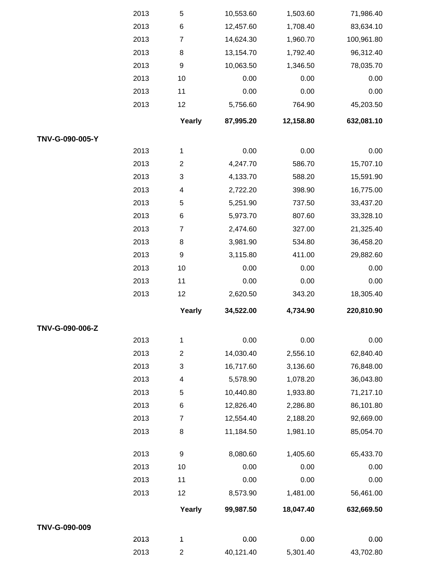|                 | 2013 | 5              | 10,553.60 | 1,503.60  | 71,986.40  |
|-----------------|------|----------------|-----------|-----------|------------|
|                 | 2013 | 6              | 12,457.60 | 1,708.40  | 83,634.10  |
|                 | 2013 | $\overline{7}$ | 14,624.30 | 1,960.70  | 100,961.80 |
|                 | 2013 | 8              | 13,154.70 | 1,792.40  | 96,312.40  |
|                 | 2013 | 9              | 10,063.50 | 1,346.50  | 78,035.70  |
|                 | 2013 | 10             | 0.00      | 0.00      | 0.00       |
|                 | 2013 | 11             | 0.00      | 0.00      | 0.00       |
|                 | 2013 | 12             | 5,756.60  | 764.90    | 45,203.50  |
|                 |      | Yearly         | 87,995.20 | 12,158.80 | 632,081.10 |
| TNV-G-090-005-Y |      |                |           |           |            |
|                 | 2013 | 1              | 0.00      | 0.00      | 0.00       |
|                 | 2013 | $\overline{2}$ | 4,247.70  | 586.70    | 15,707.10  |
|                 | 2013 | 3              | 4,133.70  | 588.20    | 15,591.90  |
|                 | 2013 | 4              | 2,722.20  | 398.90    | 16,775.00  |
|                 | 2013 | 5              | 5,251.90  | 737.50    | 33,437.20  |
|                 | 2013 | 6              | 5,973.70  | 807.60    | 33,328.10  |
|                 | 2013 | $\overline{7}$ | 2,474.60  | 327.00    | 21,325.40  |
|                 | 2013 | 8              | 3,981.90  | 534.80    | 36,458.20  |
|                 | 2013 | 9              | 3,115.80  | 411.00    | 29,882.60  |
|                 | 2013 | 10             | 0.00      | 0.00      | 0.00       |
|                 | 2013 | 11             | 0.00      | 0.00      | 0.00       |
|                 | 2013 | 12             | 2,620.50  | 343.20    | 18,305.40  |
|                 |      | Yearly         | 34,522.00 | 4,734.90  | 220,810.90 |
| TNV-G-090-006-Z |      |                |           |           |            |
|                 | 2013 | 1              | 0.00      | 0.00      | 0.00       |
|                 | 2013 | $\overline{2}$ | 14,030.40 | 2,556.10  | 62,840.40  |
|                 | 2013 | 3              | 16,717.60 | 3,136.60  | 76,848.00  |
|                 | 2013 | 4              | 5,578.90  | 1,078.20  | 36,043.80  |
|                 | 2013 | 5              | 10,440.80 | 1,933.80  | 71,217.10  |
|                 | 2013 | 6              | 12,826.40 | 2,286.80  | 86,101.80  |
|                 | 2013 | $\overline{7}$ | 12,554.40 | 2,188.20  | 92,669.00  |
|                 | 2013 | 8              | 11,184.50 | 1,981.10  | 85,054.70  |
|                 | 2013 | 9              | 8,080.60  | 1,405.60  | 65,433.70  |
|                 | 2013 | 10             | 0.00      | 0.00      | 0.00       |
|                 | 2013 | 11             | 0.00      | 0.00      | 0.00       |
|                 | 2013 | 12             | 8,573.90  | 1,481.00  | 56,461.00  |
|                 |      | Yearly         | 99,987.50 | 18,047.40 | 632,669.50 |
| TNV-G-090-009   |      |                |           |           |            |
|                 | 2013 | 1              | 0.00      | 0.00      | 0.00       |
|                 | 2013 | $\mathbf{2}$   | 40,121.40 | 5,301.40  | 43,702.80  |
|                 |      |                |           |           |            |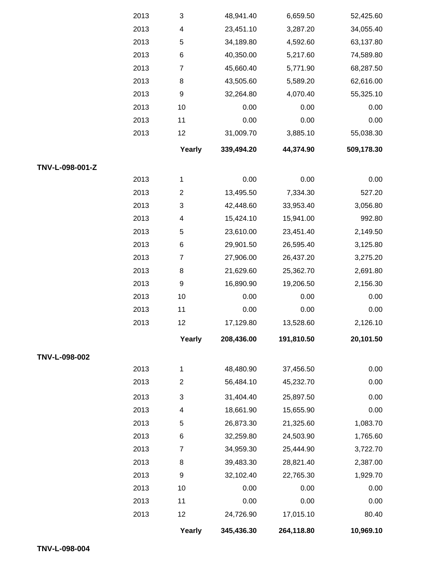|                 | 2013 | $\ensuremath{\mathsf{3}}$ | 48,941.40  | 6,659.50   | 52,425.60  |
|-----------------|------|---------------------------|------------|------------|------------|
|                 | 2013 | 4                         | 23,451.10  | 3,287.20   | 34,055.40  |
|                 | 2013 | 5                         | 34,189.80  | 4,592.60   | 63,137.80  |
|                 | 2013 | 6                         | 40,350.00  | 5,217.60   | 74,589.80  |
|                 | 2013 | $\overline{7}$            | 45,660.40  | 5,771.90   | 68,287.50  |
|                 | 2013 | 8                         | 43,505.60  | 5,589.20   | 62,616.00  |
|                 | 2013 | 9                         | 32,264.80  | 4,070.40   | 55,325.10  |
|                 | 2013 | 10                        | 0.00       | 0.00       | 0.00       |
|                 | 2013 | 11                        | 0.00       | 0.00       | 0.00       |
|                 | 2013 | 12                        | 31,009.70  | 3,885.10   | 55,038.30  |
|                 |      | Yearly                    | 339,494.20 | 44,374.90  | 509,178.30 |
| TNV-L-098-001-Z |      |                           |            |            |            |
|                 | 2013 | 1                         | 0.00       | 0.00       | 0.00       |
|                 | 2013 | $\overline{2}$            | 13,495.50  | 7,334.30   | 527.20     |
|                 | 2013 | 3                         | 42,448.60  | 33,953.40  | 3,056.80   |
|                 | 2013 | 4                         | 15,424.10  | 15,941.00  | 992.80     |
|                 | 2013 | 5                         | 23,610.00  | 23,451.40  | 2,149.50   |
|                 | 2013 | 6                         | 29,901.50  | 26,595.40  | 3,125.80   |
|                 | 2013 | $\overline{7}$            | 27,906.00  | 26,437.20  | 3,275.20   |
|                 | 2013 | 8                         | 21,629.60  | 25,362.70  | 2,691.80   |
|                 | 2013 | 9                         | 16,890.90  | 19,206.50  | 2,156.30   |
|                 | 2013 | 10                        | 0.00       | 0.00       | 0.00       |
|                 | 2013 | 11                        | 0.00       | 0.00       | 0.00       |
|                 | 2013 | 12                        | 17,129.80  | 13,528.60  | 2,126.10   |
|                 |      | Yearly                    | 208,436.00 | 191,810.50 | 20,101.50  |
| TNV-L-098-002   |      |                           |            |            |            |
|                 | 2013 | 1                         | 48,480.90  | 37,456.50  | 0.00       |
|                 | 2013 | $\overline{c}$            | 56,484.10  | 45,232.70  | 0.00       |
|                 | 2013 | 3                         | 31,404.40  | 25,897.50  | 0.00       |
|                 | 2013 | 4                         | 18,661.90  | 15,655.90  | 0.00       |
|                 | 2013 | 5                         | 26,873.30  | 21,325.60  | 1,083.70   |
|                 | 2013 | 6                         | 32,259.80  | 24,503.90  | 1,765.60   |
|                 | 2013 | $\overline{7}$            | 34,959.30  | 25,444.90  | 3,722.70   |
|                 | 2013 | 8                         | 39,483.30  | 28,821.40  | 2,387.00   |
|                 | 2013 | 9                         | 32,102.40  | 22,765.30  | 1,929.70   |
|                 | 2013 | 10                        | 0.00       | 0.00       | 0.00       |
|                 | 2013 | 11                        | 0.00       | 0.00       | 0.00       |
|                 | 2013 | 12                        | 24,726.90  | 17,015.10  | 80.40      |
|                 |      | Yearly                    | 345,436.30 | 264,118.80 | 10,969.10  |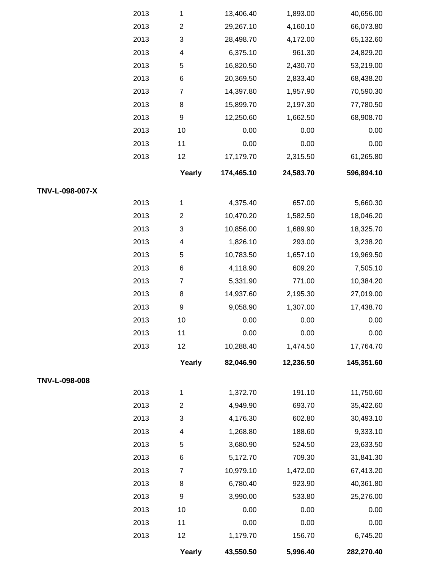|                 | 2013 | 1                | 13,406.40  | 1,893.00  | 40,656.00  |
|-----------------|------|------------------|------------|-----------|------------|
|                 | 2013 | $\overline{2}$   | 29,267.10  | 4,160.10  | 66,073.80  |
|                 | 2013 | 3                | 28,498.70  | 4,172.00  | 65,132.60  |
|                 | 2013 | 4                | 6,375.10   | 961.30    | 24,829.20  |
|                 | 2013 | $\mathbf 5$      | 16,820.50  | 2,430.70  | 53,219.00  |
|                 | 2013 | $\,6$            | 20,369.50  | 2,833.40  | 68,438.20  |
|                 | 2013 | $\overline{7}$   | 14,397.80  | 1,957.90  | 70,590.30  |
|                 | 2013 | $\,8\,$          | 15,899.70  | 2,197.30  | 77,780.50  |
|                 | 2013 | $\boldsymbol{9}$ | 12,250.60  | 1,662.50  | 68,908.70  |
|                 | 2013 | 10               | 0.00       | 0.00      | 0.00       |
|                 | 2013 | 11               | 0.00       | 0.00      | 0.00       |
|                 | 2013 | 12               | 17,179.70  | 2,315.50  | 61,265.80  |
|                 |      | Yearly           | 174,465.10 | 24,583.70 | 596,894.10 |
| TNV-L-098-007-X |      |                  |            |           |            |
|                 | 2013 | 1                | 4,375.40   | 657.00    | 5,660.30   |
|                 | 2013 | $\overline{2}$   | 10,470.20  | 1,582.50  | 18,046.20  |
|                 | 2013 | 3                | 10,856.00  | 1,689.90  | 18,325.70  |
|                 | 2013 | 4                | 1,826.10   | 293.00    | 3,238.20   |
|                 | 2013 | $\mathbf 5$      | 10,783.50  | 1,657.10  | 19,969.50  |
|                 | 2013 | $\,6$            | 4,118.90   | 609.20    | 7,505.10   |
|                 | 2013 | $\overline{7}$   | 5,331.90   | 771.00    | 10,384.20  |
|                 | 2013 | $\,8\,$          | 14,937.60  | 2,195.30  | 27,019.00  |
|                 | 2013 | $\boldsymbol{9}$ | 9,058.90   | 1,307.00  | 17,438.70  |
|                 | 2013 | 10               | 0.00       | 0.00      | 0.00       |
|                 | 2013 | 11               | 0.00       | 0.00      | 0.00       |
|                 | 2013 | 12               | 10,288.40  | 1,474.50  | 17,764.70  |
|                 |      | Yearly           | 82,046.90  | 12,236.50 | 145,351.60 |
| TNV-L-098-008   |      |                  |            |           |            |
|                 | 2013 | 1                | 1,372.70   | 191.10    | 11,750.60  |
|                 | 2013 | $\overline{2}$   | 4,949.90   | 693.70    | 35,422.60  |
|                 | 2013 | 3                | 4,176.30   | 602.80    | 30,493.10  |
|                 | 2013 | 4                | 1,268.80   | 188.60    | 9,333.10   |
|                 | 2013 | 5                | 3,680.90   | 524.50    | 23,633.50  |
|                 | 2013 | 6                | 5,172.70   | 709.30    | 31,841.30  |
|                 | 2013 | $\overline{7}$   | 10,979.10  | 1,472.00  | 67,413.20  |
|                 | 2013 | 8                | 6,780.40   | 923.90    | 40,361.80  |
|                 | 2013 | $\boldsymbol{9}$ | 3,990.00   | 533.80    | 25,276.00  |
|                 | 2013 | 10               | 0.00       | 0.00      | 0.00       |
|                 | 2013 | 11               | 0.00       | 0.00      | 0.00       |
|                 | 2013 | 12               | 1,179.70   | 156.70    | 6,745.20   |
|                 |      | Yearly           | 43,550.50  | 5,996.40  | 282,270.40 |